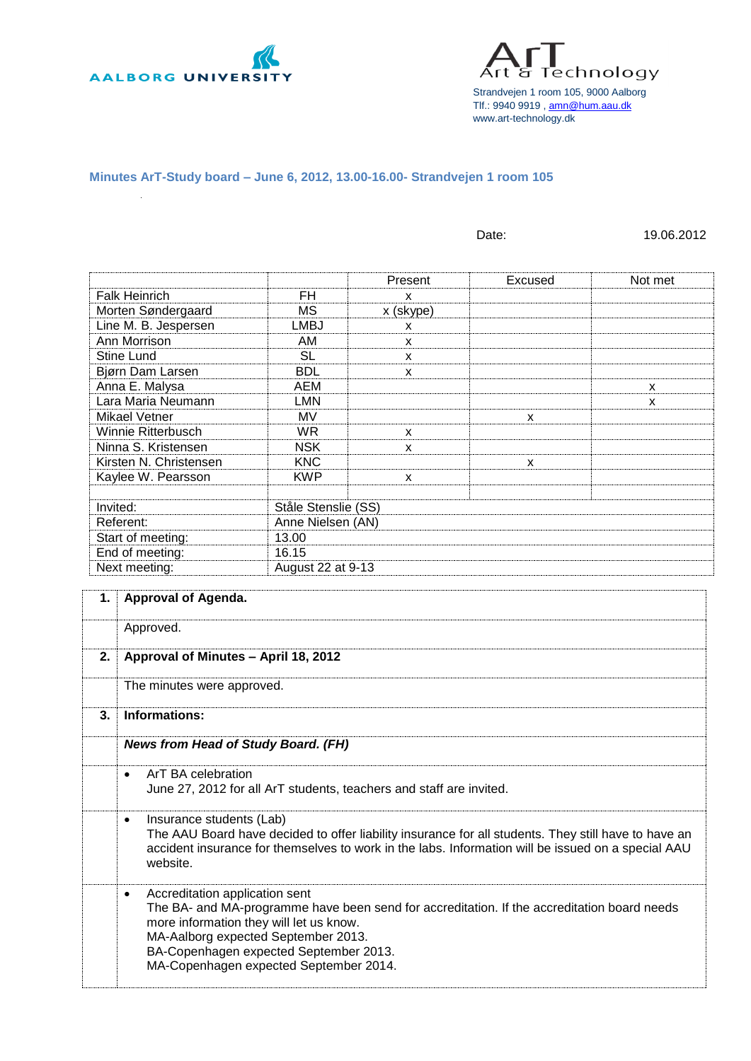

Technology Strandvejen 1 room 105, 9000 Aalborg Tlf.: 9940 9919 [, amn@hum.aau.dk](mailto:amn@hum.aau.dk) www.art-technology.dk

**Minutes ArT-Study board – June 6, 2012, 13.00-16.00- Strandvejen 1 room 105**

|                                  |                     |              | Date:        | 19.06.2012 |  |
|----------------------------------|---------------------|--------------|--------------|------------|--|
|                                  |                     | Present      | Excused      | Not met    |  |
| <b>Falk Heinrich</b>             | FH                  | $\mathsf{x}$ |              |            |  |
| Morten Søndergaard               | <b>MS</b>           | x (skype)    |              |            |  |
| Line M. B. Jespersen             | <b>LMBJ</b>         | X            |              |            |  |
| Ann Morrison                     | AM.                 |              |              |            |  |
| Stine Lund                       | <b>SL</b>           | $\mathsf{x}$ |              |            |  |
|                                  |                     | X            |              |            |  |
| Bjørn Dam Larsen                 | <b>BDL</b>          | X            |              |            |  |
| Anna E. Malysa                   | <b>AEM</b>          |              |              | X          |  |
| Lara Maria Neumann               | <b>LMN</b>          |              |              | X          |  |
| Mikael Vetner                    | <b>MV</b>           |              | X            |            |  |
| Winnie Ritterbusch               | <b>WR</b>           | X            |              |            |  |
| Ninna S. Kristensen              | <b>NSK</b>          | X            |              |            |  |
| Kirsten N. Christensen           | <b>KNC</b>          |              | $\mathsf{x}$ |            |  |
| Kaylee W. Pearsson               | <b>KWP</b>          | X            |              |            |  |
|                                  |                     |              |              |            |  |
| Invited:                         | Ståle Stenslie (SS) |              |              |            |  |
| Referent:                        | Anne Nielsen (AN)   |              |              |            |  |
| Start of meeting:                | 13.00               |              |              |            |  |
| End of meeting:                  | 16.15               |              |              |            |  |
| Next meeting:                    | August 22 at 9-13   |              |              |            |  |
|                                  |                     |              |              |            |  |
| <b>Approval of Agenda.</b><br>1. |                     |              |              |            |  |
|                                  |                     |              |              |            |  |
| Approved.                        |                     |              |              |            |  |
|                                  |                     |              |              |            |  |

| 2. | Approval of Minutes - April 18, 2012                                                                                                                                                                                                                                                                             |
|----|------------------------------------------------------------------------------------------------------------------------------------------------------------------------------------------------------------------------------------------------------------------------------------------------------------------|
|    | The minutes were approved.                                                                                                                                                                                                                                                                                       |
| 3. | Informations:                                                                                                                                                                                                                                                                                                    |
|    | <b>News from Head of Study Board. (FH)</b>                                                                                                                                                                                                                                                                       |
|    | ArT BA celebration<br>$\bullet$<br>June 27, 2012 for all ArT students, teachers and staff are invited.                                                                                                                                                                                                           |
|    | Insurance students (Lab)<br>$\bullet$<br>The AAU Board have decided to offer liability insurance for all students. They still have to have an<br>accident insurance for themselves to work in the labs. Information will be issued on a special AAU<br>website.                                                  |
|    | Accreditation application sent<br>$\bullet$<br>The BA- and MA-programme have been send for accreditation. If the accreditation board needs<br>more information they will let us know.<br>MA-Aalborg expected September 2013.<br>BA-Copenhagen expected September 2013.<br>MA-Copenhagen expected September 2014. |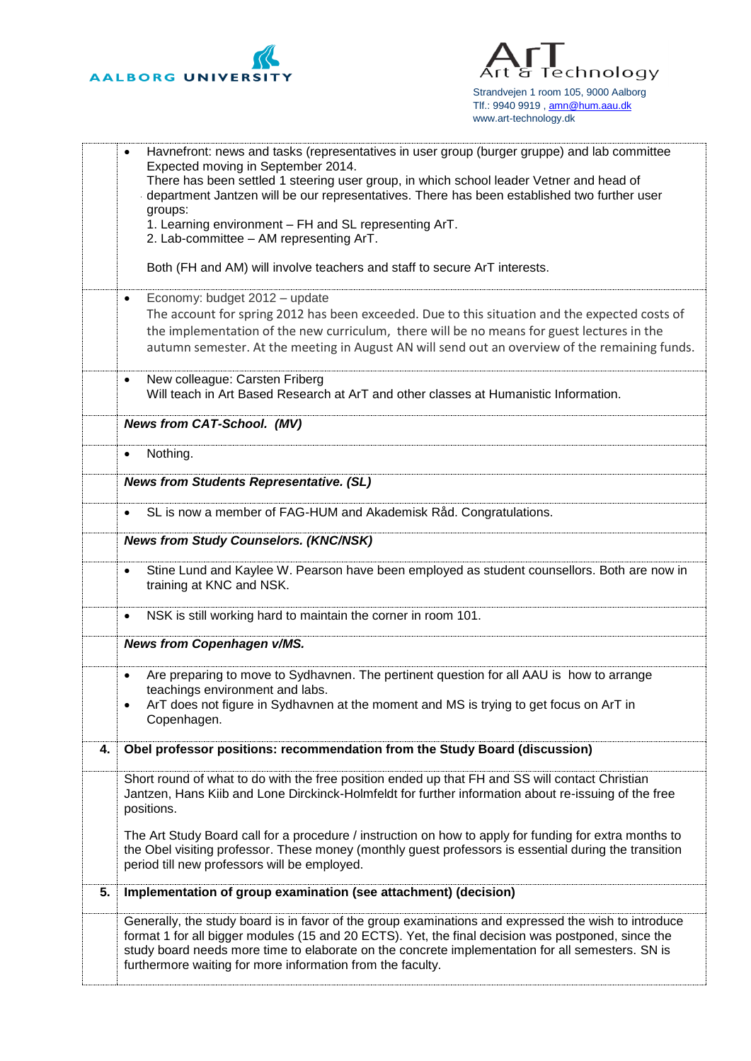

Technology Art ర Strandvejen 1 room 105, 9000 Aalborg Tlf.: 9940 9919[, amn@hum.aau.dk](mailto:amn@hum.aau.dk) www.art-technology.dk

|    | Havnefront: news and tasks (representatives in user group (burger gruppe) and lab committee<br>$\bullet$<br>Expected moving in September 2014.                                                                                                                                                                                                                               |
|----|------------------------------------------------------------------------------------------------------------------------------------------------------------------------------------------------------------------------------------------------------------------------------------------------------------------------------------------------------------------------------|
|    | There has been settled 1 steering user group, in which school leader Vetner and head of<br>department Jantzen will be our representatives. There has been established two further user                                                                                                                                                                                       |
|    | groups:                                                                                                                                                                                                                                                                                                                                                                      |
|    | 1. Learning environment - FH and SL representing ArT.<br>2. Lab-committee - AM representing ArT.                                                                                                                                                                                                                                                                             |
|    | Both (FH and AM) will involve teachers and staff to secure ArT interests.                                                                                                                                                                                                                                                                                                    |
|    | Economy: budget 2012 - update<br>$\bullet$                                                                                                                                                                                                                                                                                                                                   |
|    | The account for spring 2012 has been exceeded. Due to this situation and the expected costs of<br>the implementation of the new curriculum, there will be no means for guest lectures in the                                                                                                                                                                                 |
|    | autumn semester. At the meeting in August AN will send out an overview of the remaining funds.                                                                                                                                                                                                                                                                               |
|    | New colleague: Carsten Friberg<br>$\bullet$<br>Will teach in Art Based Research at ArT and other classes at Humanistic Information.                                                                                                                                                                                                                                          |
|    | <b>News from CAT-School. (MV)</b>                                                                                                                                                                                                                                                                                                                                            |
|    | Nothing.<br>$\bullet$                                                                                                                                                                                                                                                                                                                                                        |
|    | <b>News from Students Representative. (SL)</b>                                                                                                                                                                                                                                                                                                                               |
|    | SL is now a member of FAG-HUM and Akademisk Råd. Congratulations.                                                                                                                                                                                                                                                                                                            |
|    | <b>News from Study Counselors. (KNC/NSK)</b>                                                                                                                                                                                                                                                                                                                                 |
|    | Stine Lund and Kaylee W. Pearson have been employed as student counsellors. Both are now in<br>$\bullet$<br>training at KNC and NSK.                                                                                                                                                                                                                                         |
|    | NSK is still working hard to maintain the corner in room 101.<br>$\bullet$                                                                                                                                                                                                                                                                                                   |
|    | News from Copenhagen v/MS.                                                                                                                                                                                                                                                                                                                                                   |
|    | Are preparing to move to Sydhavnen. The pertinent question for all AAU is how to arrange<br>$\bullet$<br>teachings environment and labs.                                                                                                                                                                                                                                     |
|    | ArT does not figure in Sydhavnen at the moment and MS is trying to get focus on ArT in<br>Copenhagen.                                                                                                                                                                                                                                                                        |
| 4. | Obel professor positions: recommendation from the Study Board (discussion)                                                                                                                                                                                                                                                                                                   |
|    | Short round of what to do with the free position ended up that FH and SS will contact Christian<br>Jantzen, Hans Kiib and Lone Dirckinck-Holmfeldt for further information about re-issuing of the free<br>positions.                                                                                                                                                        |
|    | The Art Study Board call for a procedure / instruction on how to apply for funding for extra months to<br>the Obel visiting professor. These money (monthly guest professors is essential during the transition<br>period till new professors will be employed.                                                                                                              |
| 5. | Implementation of group examination (see attachment) (decision)                                                                                                                                                                                                                                                                                                              |
|    | Generally, the study board is in favor of the group examinations and expressed the wish to introduce<br>format 1 for all bigger modules (15 and 20 ECTS). Yet, the final decision was postponed, since the<br>study board needs more time to elaborate on the concrete implementation for all semesters. SN is<br>furthermore waiting for more information from the faculty. |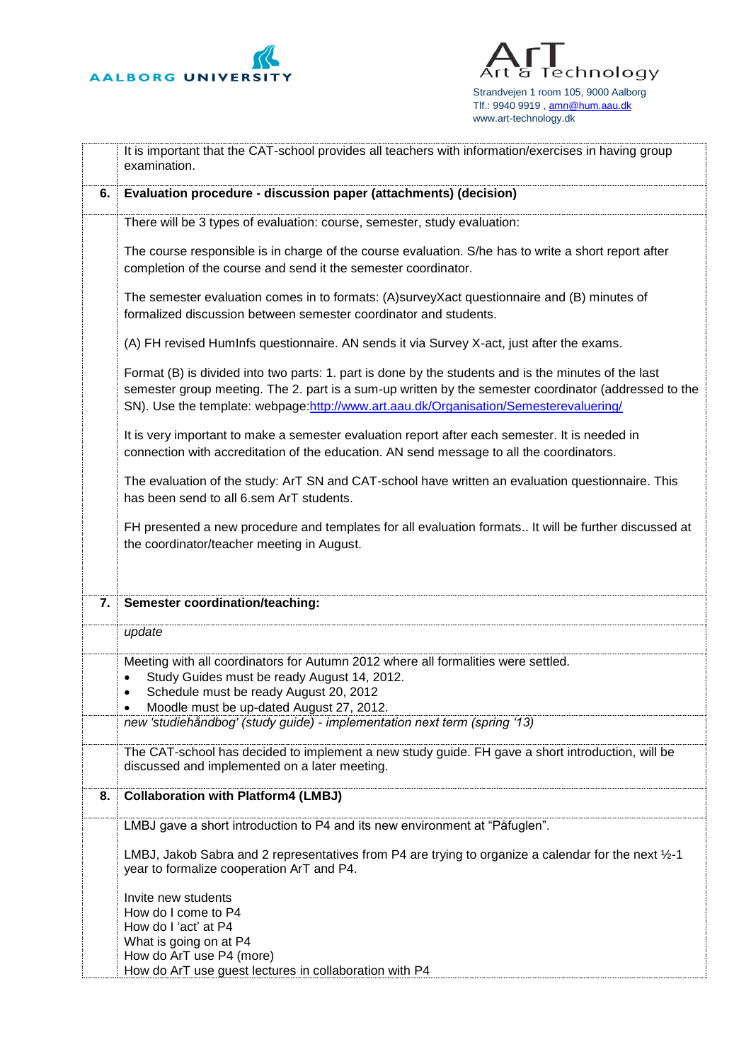

Technology Аг ਬ Strandvejen 1 room 105, 9000 Aalborg Tlf.: 9940 9919[, amn@hum.aau.dk](mailto:amn@hum.aau.dk) www.art-technology.dk

|    | It is important that the CAT-school provides all teachers with information/exercises in having group<br>examination.                                                                                                                                                                                   |  |  |  |
|----|--------------------------------------------------------------------------------------------------------------------------------------------------------------------------------------------------------------------------------------------------------------------------------------------------------|--|--|--|
| 6. | Evaluation procedure - discussion paper (attachments) (decision)                                                                                                                                                                                                                                       |  |  |  |
|    | There will be 3 types of evaluation: course, semester, study evaluation:                                                                                                                                                                                                                               |  |  |  |
|    | The course responsible is in charge of the course evaluation. S/he has to write a short report after<br>completion of the course and send it the semester coordinator.                                                                                                                                 |  |  |  |
|    | The semester evaluation comes in to formats: (A)surveyXact questionnaire and (B) minutes of<br>formalized discussion between semester coordinator and students.                                                                                                                                        |  |  |  |
|    | (A) FH revised HumInfs questionnaire. AN sends it via Survey X-act, just after the exams.                                                                                                                                                                                                              |  |  |  |
|    | Format (B) is divided into two parts: 1. part is done by the students and is the minutes of the last<br>semester group meeting. The 2. part is a sum-up written by the semester coordinator (addressed to the<br>SN). Use the template: webpage:http://www.art.aau.dk/Organisation/Semesterevaluering/ |  |  |  |
|    | It is very important to make a semester evaluation report after each semester. It is needed in<br>connection with accreditation of the education. AN send message to all the coordinators.                                                                                                             |  |  |  |
|    | The evaluation of the study: ArT SN and CAT-school have written an evaluation questionnaire. This<br>has been send to all 6.sem ArT students.                                                                                                                                                          |  |  |  |
|    | FH presented a new procedure and templates for all evaluation formats It will be further discussed at<br>the coordinator/teacher meeting in August.                                                                                                                                                    |  |  |  |
| 7. | <b>Semester coordination/teaching:</b>                                                                                                                                                                                                                                                                 |  |  |  |
|    | update                                                                                                                                                                                                                                                                                                 |  |  |  |
|    | Meeting with all coordinators for Autumn 2012 where all formalities were settled.<br>Study Guides must be ready August 14, 2012.<br>$\bullet$<br>Schedule must be ready August 20, 2012<br>$\bullet$<br>Moodle must be up-dated August 27, 2012.                                                       |  |  |  |
|    | new 'studiehåndbog' (study guide) - implementation next term (spring '13)                                                                                                                                                                                                                              |  |  |  |
|    | The CAT-school has decided to implement a new study guide. FH gave a short introduction, will be<br>discussed and implemented on a later meeting.                                                                                                                                                      |  |  |  |
| 8. | <b>Collaboration with Platform4 (LMBJ)</b>                                                                                                                                                                                                                                                             |  |  |  |
|    | LMBJ gave a short introduction to P4 and its new environment at "Påfuglen".                                                                                                                                                                                                                            |  |  |  |
|    | LMBJ, Jakob Sabra and 2 representatives from P4 are trying to organize a calendar for the next 1/2-1<br>year to formalize cooperation ArT and P4.                                                                                                                                                      |  |  |  |
|    | Invite new students<br>How do I come to P4<br>How do I 'act' at P4<br>What is going on at P4                                                                                                                                                                                                           |  |  |  |
|    | How do ArT use P4 (more)<br>How do ArT use guest lectures in collaboration with P4                                                                                                                                                                                                                     |  |  |  |